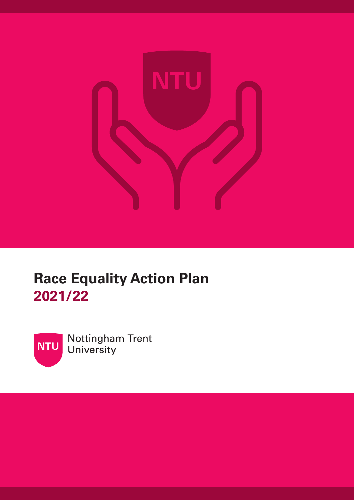

# **Race Equality Action Plan 2021/22**



Nottingham Trent University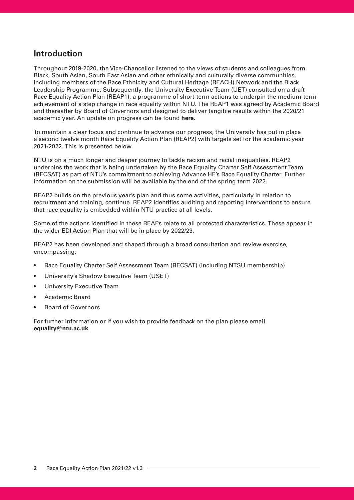#### **Introduction**

Throughout 2019-2020, the Vice-Chancellor listened to the views of students and colleagues from Black, South Asian, South East Asian and other ethnically and culturally diverse communities, including members of the Race Ethnicity and Cultural Heritage (REACH) Network and the Black Leadership Programme. Subsequently, the University Executive Team (UET) consulted on a draft Race Equality Action Plan (REAP1), a programme of short-term actions to underpin the medium-term achievement of a step change in race equality within NTU. The REAP1 was agreed by Academic Board and thereafter by Board of Governors and designed to deliver tangible results within the 2020/21 academic year. An update on progress can be found **[here](https://www.ntu.ac.uk/about-us/equality-diversity-and-inclusion/race-equality-charter)**.

To maintain a clear focus and continue to advance our progress, the University has put in place a second twelve month Race Equality Action Plan (REAP2) with targets set for the academic year 2021/2022. This is presented below.

NTU is on a much longer and deeper journey to tackle racism and racial inequalities. REAP2 underpins the work that is being undertaken by the Race Equality Charter Self Assessment Team (RECSAT) as part of NTU's commitment to achieving Advance HE's Race Equality Charter. Further information on the submission will be available by the end of the spring term 2022.

REAP2 builds on the previous year's plan and thus some activities, particularly in relation to recruitment and training, continue. REAP2 identifes auditing and reporting interventions to ensure that race equality is embedded within NTU practice at all levels.

Some of the actions identifed in these REAPs relate to all protected characteristics. These appear in the wider EDI Action Plan that will be in place by 2022/23.

REAP2 has been developed and shaped through a broad consultation and review exercise, encompassing:

- Race Equality Charter Self Assessment Team (RECSAT) (including NTSU membership)
- University's Shadow Executive Team (USET)
- University Executive Team
- Academic Board
- Board of Governors

For further information or if you wish to provide feedback on the plan please email **[equality@ntu.ac.uk](mailto:equality@ntu.ac.uk)**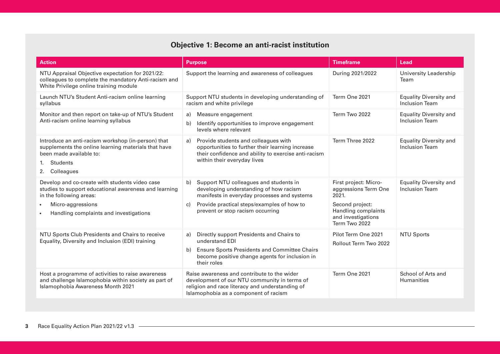### **Objective 1: Become an anti-racist institution**

| <b>Action</b>                                                                                                                                                                     | <b>Purpose</b>                                                                                                                                                                                   | <b>Timeframe</b>                                                              | Lead                                                   |
|-----------------------------------------------------------------------------------------------------------------------------------------------------------------------------------|--------------------------------------------------------------------------------------------------------------------------------------------------------------------------------------------------|-------------------------------------------------------------------------------|--------------------------------------------------------|
| NTU Appraisal Objective expectation for 2021/22:<br>colleagues to complete the mandatory Anti-racism and<br>White Privilege online training module                                | Support the learning and awareness of colleagues                                                                                                                                                 | During 2021/2022                                                              | University Leadership<br>Team                          |
| Launch NTU's Student Anti-racism online learning<br>syllabus                                                                                                                      | Support NTU students in developing understanding of<br>racism and white privilege                                                                                                                | Term One 2021                                                                 | <b>Equality Diversity and</b><br><b>Inclusion Team</b> |
| Monitor and then report on take-up of NTU's Student<br>Anti-racism online learning syllabus                                                                                       | Measure engagement<br>a)<br>Identify opportunities to improve engagement<br>b)<br>levels where relevant                                                                                          | Term Two 2022                                                                 | <b>Equality Diversity and</b><br><b>Inclusion Team</b> |
| Introduce an anti-racism workshop (in-person) that<br>supplements the online learning materials that have<br>been made available to:<br><b>Students</b><br>1.<br>Colleagues<br>2. | Provide students and colleagues with<br>a)<br>opportunities to further their learning increase<br>their confidence and ability to exercise anti-racism<br>within their everyday lives            | Term Three 2022                                                               | <b>Equality Diversity and</b><br><b>Inclusion Team</b> |
| Develop and co-create with students video case<br>studies to support educational awareness and learning<br>in the following areas:                                                | Support NTU colleagues and students in<br>b)<br>developing understanding of how racism<br>manifests in everyday processes and systems                                                            | First project: Micro-<br>aggressions Term One<br>2021.                        | <b>Equality Diversity and</b><br><b>Inclusion Team</b> |
| Micro-aggressions<br>Handling complaints and investigations                                                                                                                       | Provide practical steps/examples of how to<br>C)<br>prevent or stop racism occurring                                                                                                             | Second project:<br>Handling complaints<br>and investigations<br>Term Two 2022 |                                                        |
| NTU Sports Club Presidents and Chairs to receive<br>Equality, Diversity and Inclusion (EDI) training                                                                              | Directly support Presidents and Chairs to<br>a)<br>understand EDI<br><b>Ensure Sports Presidents and Committee Chairs</b><br>b)<br>become positive change agents for inclusion in<br>their roles | Pilot Term One 2021<br>Rollout Term Two 2022                                  | <b>NTU Sports</b>                                      |
| Host a programme of activities to raise awareness<br>and challenge Islamophobia within society as part of<br>Islamophobia Awareness Month 2021                                    | Raise awareness and contribute to the wider<br>development of our NTU community in terms of<br>religion and race literacy and understanding of<br>Islamophobia as a component of racism          | Term One 2021                                                                 | School of Arts and<br><b>Humanities</b>                |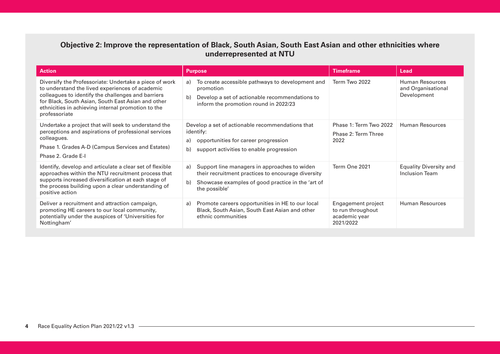#### **Objective 2: Improve the representation of Black, South Asian, South East Asian and other ethnicities where underrepresented at NTU**

| <b>Action</b>                                                                                                                                                                                                                                                                                | <b>Purpose</b>                                                                                                                                                                       | <b>Timeframe</b>                                                      | Lead                                                 |
|----------------------------------------------------------------------------------------------------------------------------------------------------------------------------------------------------------------------------------------------------------------------------------------------|--------------------------------------------------------------------------------------------------------------------------------------------------------------------------------------|-----------------------------------------------------------------------|------------------------------------------------------|
| Diversify the Professoriate: Undertake a piece of work<br>to understand the lived experiences of academic<br>colleagues to identify the challenges and barriers<br>for Black, South Asian, South East Asian and other<br>ethnicities in achieving internal promotion to the<br>professoriate | To create accessible pathways to development and<br>a)<br>promotion<br>Develop a set of actionable recommendations to<br>b)<br>inform the promotion round in 2022/23                 | Term Two 2022                                                         | Human Resources<br>and Organisational<br>Development |
| Undertake a project that will seek to understand the<br>perceptions and aspirations of professional services<br>colleagues.<br>Phase 1. Grades A-D (Campus Services and Estates)<br>Phase 2. Grade E-I                                                                                       | Develop a set of actionable recommendations that<br>identify:<br>opportunities for career progression<br>a)<br>support activities to enable progression<br>b)                        | Phase 1: Term Two 2022<br>Phase 2: Term Three<br>2022                 | <b>Human Resources</b>                               |
| Identify, develop and articulate a clear set of flexible<br>approaches within the NTU recruitment process that<br>supports increased diversification at each stage of<br>the process building upon a clear understanding of<br>positive action                                               | Support line managers in approaches to widen<br>a)<br>their recruitment practices to encourage diversity<br>b)<br>Showcase examples of good practice in the 'art of<br>the possible' | Term One 2021                                                         | <b>Equality Diversity and</b><br>Inclusion Team      |
| Deliver a recruitment and attraction campaign,<br>promoting HE careers to our local community,<br>potentially under the auspices of 'Universities for<br>Nottingham'                                                                                                                         | Promote careers opportunities in HE to our local<br>a)<br>Black, South Asian, South East Asian and other<br>ethnic communities                                                       | Engagement project<br>to run throughout<br>academic year<br>2021/2022 | Human Resources                                      |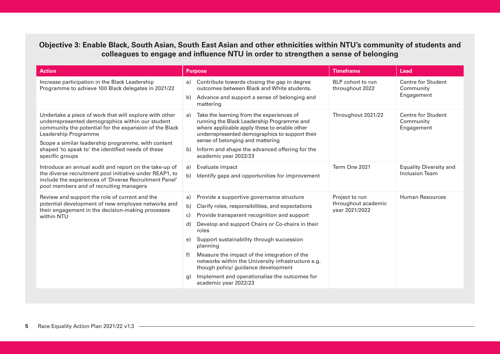#### **Objective 3: Enable Black, South Asian, South East Asian and other ethnicities within NTU's community of students and colleagues to engage and infuence NTU in order to strengthen a sense of belonging**

| <b>Action</b>                                                                                                                                                                                                                                                                                                               | <b>Purpose</b>                                                                                                                                                                                                                                                                                                                                                                                                                                                                                                                       | <b>Timeframe</b>                                        | Lead                                                   |
|-----------------------------------------------------------------------------------------------------------------------------------------------------------------------------------------------------------------------------------------------------------------------------------------------------------------------------|--------------------------------------------------------------------------------------------------------------------------------------------------------------------------------------------------------------------------------------------------------------------------------------------------------------------------------------------------------------------------------------------------------------------------------------------------------------------------------------------------------------------------------------|---------------------------------------------------------|--------------------------------------------------------|
| Increase participation in the Black Leadership<br>Programme to achieve 100 Black delegates in 2021/22                                                                                                                                                                                                                       | Contribute towards closing the gap in degree<br>a)<br>outcomes between Black and White students.<br>Advance and support a sense of belonging and<br>b)<br>mattering                                                                                                                                                                                                                                                                                                                                                                  | BLP cohort to run<br>throughout 2022                    | <b>Centre for Student</b><br>Community<br>Engagement   |
| Undertake a piece of work that will explore with other<br>underrepresented demographics within our student<br>community the potential for the expansion of the Black<br>Leadership Programme<br>Scope a similar leadership programme, with content<br>shaped 'to speak to' the identified needs of these<br>specific groups | Take the learning from the experiences of<br>a)<br>running the Black Leadership Programme and<br>where applicable apply these to enable other<br>underrepresented demographics to support their<br>sense of belonging and mattering<br>Inform and shape the advanced offering for the<br>b)<br>academic year 2022/23                                                                                                                                                                                                                 | Throughout 2021/22                                      | <b>Centre for Student</b><br>Community<br>Engagement   |
| Introduce an annual audit and report on the take-up of<br>the diverse recruitment pool initiative under REAP1, to<br>include the experiences of 'Diverse Recruitment Panel'<br>pool members and of recruiting managers                                                                                                      | Evaluate impact<br>a)<br>b)<br>Identify gaps and opportunities for improvement                                                                                                                                                                                                                                                                                                                                                                                                                                                       | Term One 2021                                           | <b>Equality Diversity and</b><br><b>Inclusion Team</b> |
| Review and support the role of current and the<br>potential development of new employee networks and<br>their engagement in the decision-making processes<br>within NTU                                                                                                                                                     | Provide a supportive governance structure<br>a)<br>Clarify roles, responsibilities, and expectations<br>b)<br>Provide transparent recognition and support<br>C)<br>Develop and support Chairs or Co-chairs in their<br>d)<br>roles<br>Support sustainability through succession<br>e)<br>planning<br>Measure the impact of the integration of the<br>f)<br>networks within the University infrastructure e.g.<br>though policy/ guidance development<br>Implement and operationalise the outcomes for<br>q)<br>academic year 2022/23 | Project to run<br>throughout academic<br>year 2021/2022 | Human Resources                                        |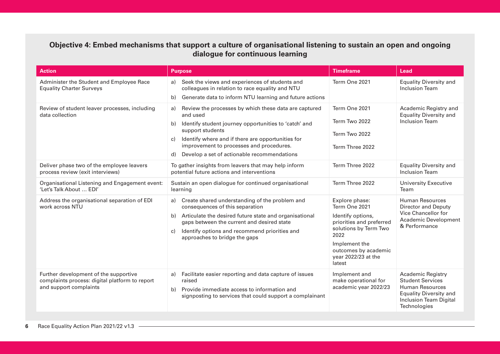#### **Objective 4: Embed mechanisms that support a culture of organisational listening to sustain an open and ongoing dialogue for continuous learning**

| <b>Action</b>                                                                                                     | <b>Purpose</b>                                                                                                                                                                                                                                                                                                         | <b>Timeframe</b>                                                                                                                                                                            | Lead                                                                                                                                                            |
|-------------------------------------------------------------------------------------------------------------------|------------------------------------------------------------------------------------------------------------------------------------------------------------------------------------------------------------------------------------------------------------------------------------------------------------------------|---------------------------------------------------------------------------------------------------------------------------------------------------------------------------------------------|-----------------------------------------------------------------------------------------------------------------------------------------------------------------|
| Administer the Student and Employee Race<br><b>Equality Charter Surveys</b>                                       | a) Seek the views and experiences of students and<br>colleagues in relation to race equality and NTU<br>Generate data to inform NTU learning and future actions<br>b)                                                                                                                                                  | Term One 2021                                                                                                                                                                               | <b>Equality Diversity and</b><br><b>Inclusion Team</b>                                                                                                          |
| Review of student leaver processes, including<br>data collection                                                  | Review the processes by which these data are captured<br>a)<br>and used<br>Identify student journey opportunities to 'catch' and<br>b)<br>support students<br>Identify where and if there are opportunities for<br>C)<br>improvement to processes and procedures.<br>Develop a set of actionable recommendations<br>d) | Term One 2021<br>Term Two 2022<br>Term Two 2022<br>Term Three 2022                                                                                                                          | Academic Registry and<br><b>Equality Diversity and</b><br><b>Inclusion Team</b>                                                                                 |
| Deliver phase two of the employee leavers<br>process review (exit interviews)                                     | To gather insights from leavers that may help inform<br>potential future actions and interventions                                                                                                                                                                                                                     | Term Three 2022                                                                                                                                                                             | <b>Equality Diversity and</b><br><b>Inclusion Team</b>                                                                                                          |
| Organisational Listening and Engagement event:<br>'Let's Talk About  EDI'                                         | Sustain an open dialogue for continued organisational<br>learning                                                                                                                                                                                                                                                      | Term Three 2022                                                                                                                                                                             | <b>University Executive</b><br>Team                                                                                                                             |
| Address the organisational separation of EDI<br>work across NTU                                                   | Create shared understanding of the problem and<br>a)<br>consequences of this separation<br>b) Articulate the desired future state and organisational<br>gaps between the current and desired state<br>Identify options and recommend priorities and<br>C)<br>approaches to bridge the gaps                             | Explore phase:<br>Term One 2021<br>Identify options,<br>priorities and preferred<br>solutions by Term Two<br>2022<br>Implement the<br>outcomes by academic<br>year 2022/23 at the<br>latest | <b>Human Resources</b><br><b>Director and Deputy</b><br>Vice Chancellor for<br><b>Academic Development</b><br>& Performance                                     |
| Further development of the supportive<br>complaints process: digital platform to report<br>and support complaints | Facilitate easier reporting and data capture of issues<br>a)<br>raised<br>Provide immediate access to information and<br>b)<br>signposting to services that could support a complainant                                                                                                                                | Implement and<br>make operational for<br>academic year 2022/23                                                                                                                              | <b>Academic Registry</b><br><b>Student Services</b><br><b>Human Resources</b><br><b>Equality Diversity and</b><br><b>Inclusion Team Digital</b><br>Technologies |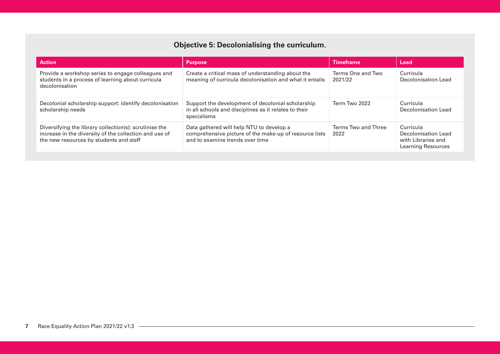## **Objective 5: Decolonialising the curriculum.**

| <b>Action</b>                                                                                                                                               | <b>Purpose</b>                                                                                                                        | <b>Timeframe</b>             | Lead                                                                         |
|-------------------------------------------------------------------------------------------------------------------------------------------------------------|---------------------------------------------------------------------------------------------------------------------------------------|------------------------------|------------------------------------------------------------------------------|
| Provide a workshop series to engage colleagues and<br>students in a process of learning about curricula<br>decolonisation                                   | Create a critical mass of understanding about the<br>meaning of curricula decolonisation and what it entails                          | Terms One and Two<br>2021/22 | Curricula<br>Decolonisation Lead                                             |
| Decolonial scholarship support: identify decolonisation<br>scholarship needs                                                                                | Support the development of decolonial scholarship<br>in all schools and disciplines as it relates to their<br>specialisms             | Term Two 2022                | Curricula<br>Decolonisation Lead                                             |
| Diversifying the library collection(s): scrutinise the<br>increase in the diversity of the collection and use of<br>the new resources by students and staff | Data gathered will help NTU to develop a<br>comprehensive picture of the make-up of resource lists<br>and to examine trends over time | Terms Two and Three<br>2022  | Curricula<br>Decolonisation Lead<br>with Libraries and<br>Learning Resources |